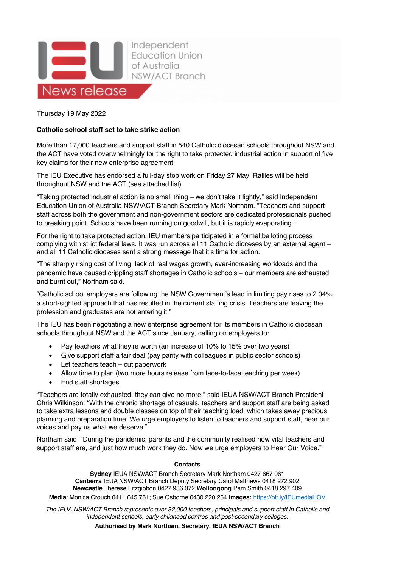

Independent

Thursday 19 May 2022

#### **Catholic school staff set to take strike action**

More than 17,000 teachers and support staff in 540 Catholic diocesan schools throughout NSW and the ACT have voted overwhelmingly for the right to take protected industrial action in support of five key claims for their new enterprise agreement.

The IEU Executive has endorsed a full-day stop work on Friday 27 May. Rallies will be held throughout NSW and the ACT (see attached list).

"Taking protected industrial action is no small thing – we don't take it lightly," said Independent Education Union of Australia NSW/ACT Branch Secretary Mark Northam. "Teachers and support staff across both the government and non-government sectors are dedicated professionals pushed to breaking point. Schools have been running on goodwill, but it is rapidly evaporating."

For the right to take protected action, IEU members participated in a formal balloting process complying with strict federal laws. It was run across all 11 Catholic dioceses by an external agent – and all 11 Catholic dioceses sent a strong message that it's time for action.

"The sharply rising cost of living, lack of real wages growth, ever-increasing workloads and the pandemic have caused crippling staff shortages in Catholic schools – our members are exhausted and burnt out," Northam said.

"Catholic school employers are following the NSW Government's lead in limiting pay rises to 2.04%, a short-sighted approach that has resulted in the current staffing crisis. Teachers are leaving the profession and graduates are not entering it."

The IEU has been negotiating a new enterprise agreement for its members in Catholic diocesan schools throughout NSW and the ACT since January, calling on employers to:

- Pay teachers what they're worth (an increase of 10% to 15% over two years)
- Give support staff a fair deal (pay parity with colleagues in public sector schools)
- Let teachers teach cut paperwork
- Allow time to plan (two more hours release from face-to-face teaching per week)
- End staff shortages.

"Teachers are totally exhausted, they can give no more," said IEUA NSW/ACT Branch President Chris Wilkinson. "With the chronic shortage of casuals, teachers and support staff are being asked to take extra lessons and double classes on top of their teaching load, which takes away precious planning and preparation time. We urge employers to listen to teachers and support staff, hear our voices and pay us what we deserve."

Northam said: "During the pandemic, parents and the community realised how vital teachers and support staff are, and just how much work they do. Now we urge employers to Hear Our Voice."

#### **Contacts**

**Sydney** IEUA NSW/ACT Branch Secretary Mark Northam 0427 667 061 **Canberra** IEUA NSW/ACT Branch Deputy Secretary Carol Matthews 0418 272 902 **Newcastle** Therese Fitzgibbon 0427 936 072 **Wollongong** Pam Smith 0418 297 409

**Media**: Monica Crouch 0411 645 751; Sue Osborne 0430 220 254 **Images:** https://bit.ly/IEUmediaHOV

*The IEUA NSW/ACT Branch represents over 32,000 teachers, principals and support staff in Catholic and independent schools, early childhood centres and post-secondary colleges.*

**Authorised by Mark Northam, Secretary, IEUA NSW/ACT Branch**